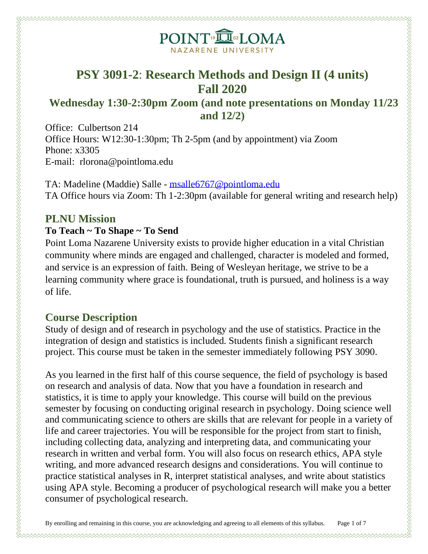

## **PSY 3091-2**: **Research Methods and Design II (4 units) Fall 2020**

### **Wednesday 1:30-2:30pm Zoom (and note presentations on Monday 11/23 and 12/2)**

Office: Culbertson 214 Office Hours: W12:30-1:30pm; Th 2-5pm (and by appointment) via Zoom Phone: x3305 E-mail: rlorona@pointloma.edu

TA: Madeline (Maddie) Salle - [msalle6767@pointloma.edu](mailto:msalle6767@pointloma.edu) TA Office hours via Zoom: Th 1-2:30pm (available for general writing and research help)

### **PLNU Mission**

u waxaa waxaa waxaa waxaa waxaa waxaa waxaa waxaa waxaa waxaa waxaa waxaa waxa waxa waxaa waxaa waxaa waxaa waxa

#### **To Teach ~ To Shape ~ To Send**

Point Loma Nazarene University exists to provide higher education in a vital Christian community where minds are engaged and challenged, character is modeled and formed, and service is an expression of faith. Being of Wesleyan heritage, we strive to be a learning community where grace is foundational, truth is pursued, and holiness is a way of life.

### **Course Description**

Study of design and of research in psychology and the use of statistics. Practice in the integration of design and statistics is included. Students finish a significant research project. This course must be taken in the semester immediately following PSY 3090.

As you learned in the first half of this course sequence, the field of psychology is based on research and analysis of data. Now that you have a foundation in research and statistics, it is time to apply your knowledge. This course will build on the previous semester by focusing on conducting original research in psychology. Doing science well and communicating science to others are skills that are relevant for people in a variety of life and career trajectories. You will be responsible for the project from start to finish, including collecting data, analyzing and interpreting data, and communicating your research in written and verbal form. You will also focus on research ethics, APA style writing, and more advanced research designs and considerations. You will continue to practice statistical analyses in R, interpret statistical analyses, and write about statistics using APA style. Becoming a producer of psychological research will make you a better consumer of psychological research.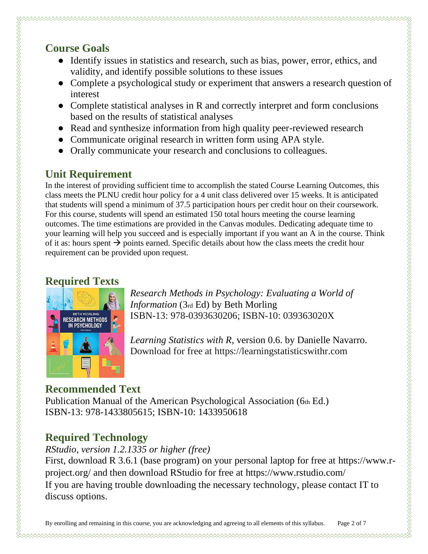## **Course Goals**

- Identify issues in statistics and research, such as bias, power, error, ethics, and validity, and identify possible solutions to these issues
- Complete a psychological study or experiment that answers a research question of interest
- Complete statistical analyses in R and correctly interpret and form conclusions based on the results of statistical analyses
- Read and synthesize information from high quality peer-reviewed research
- Communicate original research in written form using APA style.
- Orally communicate your research and conclusions to colleagues.

## **Unit Requirement**

In the interest of providing sufficient time to accomplish the stated Course Learning Outcomes, this class meets the PLNU credit hour policy for a 4 unit class delivered over 15 weeks. It is anticipated that students will spend a minimum of 37.5 participation hours per credit hour on their coursework. For this course, students will spend an estimated 150 total hours meeting the course learning outcomes. The time estimations are provided in the Canvas modules. Dedicating adequate time to your learning will help you succeed and is especially important if you want an A in the course. Think of it as: hours spent  $\rightarrow$  points earned. Specific details about how the class meets the credit hour requirement can be provided upon request.

## **Required Texts**

u waxaa waxaa waxaa waxaa waxaa waxaa waxaa waxaa waxaa waxaa waxaa waxaa waxa waxaa waxaa waxaa waxaa waxaa wa



*Research Methods in Psychology: Evaluating a World of Information* (3rd Ed) by Beth Morling ISBN-13: 978-0393630206; ISBN-10: 039363020X

*Learning Statistics with R*, version 0.6. by Danielle Navarro. Download for free at https://learningstatisticswithr.com

## **Recommended Text**

Publication Manual of the American Psychological Association (6th Ed.) ISBN-13: 978-1433805615; ISBN-10: 1433950618

## **Required Technology**

*RStudio, version 1.2.1335 or higher (free)*

First, download R 3.6.1 (base program) on your personal laptop for free at https://www.rproject.org/ and then download RStudio for free at https://www.rstudio.com/ If you are having trouble downloading the necessary technology, please contact IT to discuss options.

By enrolling and remaining in this course, you are acknowledging and agreeing to all elements of this syllabus. Page 2 of 7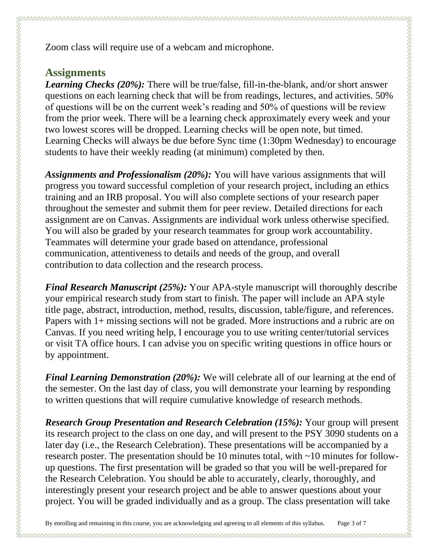Zoom class will require use of a webcam and microphone.

### **Assignments**

*Learning Checks (20%):* There will be true/false, fill-in-the-blank, and/or short answer questions on each learning check that will be from readings, lectures, and activities. 50% of questions will be on the current week's reading and 50% of questions will be review from the prior week. There will be a learning check approximately every week and your two lowest scores will be dropped. Learning checks will be open note, but timed. Learning Checks will always be due before Sync time (1:30pm Wednesday) to encourage students to have their weekly reading (at minimum) completed by then.

*Assignments and Professionalism (20%):* You will have various assignments that will progress you toward successful completion of your research project, including an ethics training and an IRB proposal. You will also complete sections of your research paper throughout the semester and submit them for peer review. Detailed directions for each assignment are on Canvas. Assignments are individual work unless otherwise specified. You will also be graded by your research teammates for group work accountability. Teammates will determine your grade based on attendance, professional communication, attentiveness to details and needs of the group, and overall contribution to data collection and the research process.

*Final Research Manuscript (25%):* Your APA-style manuscript will thoroughly describe your empirical research study from start to finish. The paper will include an APA style title page, abstract, introduction, method, results, discussion, table/figure, and references. Papers with 1+ missing sections will not be graded. More instructions and a rubric are on Canvas. If you need writing help, I encourage you to use writing center/tutorial services or visit TA office hours. I can advise you on specific writing questions in office hours or by appointment.

*Final Learning Demonstration (20%):* We will celebrate all of our learning at the end of the semester. On the last day of class, you will demonstrate your learning by responding to written questions that will require cumulative knowledge of research methods.

*Research Group Presentation and Research Celebration (15%):* Your group will present its research project to the class on one day, and will present to the PSY 3090 students on a later day (i.e., the Research Celebration). These presentations will be accompanied by a research poster. The presentation should be 10 minutes total, with ~10 minutes for followup questions. The first presentation will be graded so that you will be well-prepared for the Research Celebration. You should be able to accurately, clearly, thoroughly, and interestingly present your research project and be able to answer questions about your project. You will be graded individually and as a group. The class presentation will take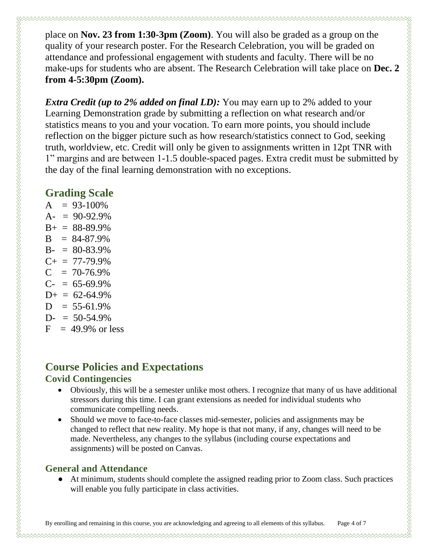place on **Nov. 23 from 1:30-3pm (Zoom)**. You will also be graded as a group on the quality of your research poster. For the Research Celebration, you will be graded on attendance and professional engagement with students and faculty. There will be no make-ups for students who are absent. The Research Celebration will take place on **Dec. 2 from 4-5:30pm (Zoom).**

*Extra Credit (up to 2% added on final LD):* You may earn up to 2% added to your Learning Demonstration grade by submitting a reflection on what research and/or statistics means to you and your vocation. To earn more points, you should include reflection on the bigger picture such as how research/statistics connect to God, seeking truth, worldview, etc. Credit will only be given to assignments written in 12pt TNR with 1" margins and are between 1-1.5 double-spaced pages. Extra credit must be submitted by the day of the final learning demonstration with no exceptions.

### **Grading Scale**

| $A = 93-100\%$        |  |
|-----------------------|--|
| $A = 90-92.9%$        |  |
| $B+ = 88-89.9\%$      |  |
| $B = 84-87.9%$        |  |
| $B- = 80-83.9%$       |  |
| $C_{+} = 77 - 79.9\%$ |  |
| $C = 70-76.9\%$       |  |
| $C = 65-69.9\%$       |  |
| $D+ = 62-64.9\%$      |  |
| $D = 55-61.9\%$       |  |
| $D = 50-54.9%$        |  |
| $F = 49.9\%$ or less  |  |

# **Course Policies and Expectations**

#### **Covid Contingencies**

- Obviously, this will be a semester unlike most others. I recognize that many of us have additional stressors during this time. I can grant extensions as needed for individual students who communicate compelling needs.
- Should we move to face-to-face classes mid-semester, policies and assignments may be changed to reflect that new reality. My hope is that not many, if any, changes will need to be made. Nevertheless, any changes to the syllabus (including course expectations and assignments) will be posted on Canvas.

### **General and Attendance**

• At minimum, students should complete the assigned reading prior to Zoom class. Such practices will enable you fully participate in class activities.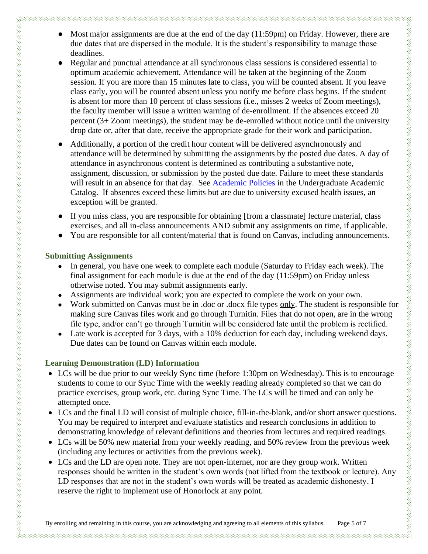- 
- Most major assignments are due at the end of the day (11:59pm) on Friday. However, there are due dates that are dispersed in the module. It is the student's responsibility to manage those deadlines.
- Regular and punctual attendance at all synchronous class sessions is considered essential to optimum academic achievement. Attendance will be taken at the beginning of the Zoom session. If you are more than 15 minutes late to class, you will be counted absent. If you leave class early, you will be counted absent unless you notify me before class begins. If the student is absent for more than 10 percent of class sessions (i.e., misses 2 weeks of Zoom meetings), the faculty member will issue a written warning of de-enrollment. If the absences exceed 20 percent (3+ Zoom meetings), the student may be de-enrolled without notice until the university drop date or, after that date, receive the appropriate grade for their work and participation.
- Additionally, a portion of the credit hour content will be delivered asynchronously and attendance will be determined by submitting the assignments by the posted due dates. A day of attendance in asynchronous content is determined as contributing a substantive note, assignment, discussion, or submission by the posted due date. Failure to meet these standards will result in an absence for that day. See [Academic Policies](https://catalog.pointloma.edu/content.php?catoid=46&navoid=2650#Class_Attendance) in the Undergraduate Academic Catalog. If absences exceed these limits but are due to university excused health issues, an exception will be granted.
- If you miss class, you are responsible for obtaining [from a classmate] lecture material, class exercises, and all in-class announcements AND submit any assignments on time, if applicable.
- You are responsible for all content/material that is found on Canvas, including announcements.

#### **Submitting Assignments**

- In general, you have one week to complete each module (Saturday to Friday each week). The final assignment for each module is due at the end of the day (11:59pm) on Friday unless otherwise noted. You may submit assignments early.
- Assignments are individual work; you are expected to complete the work on your own.
- Work submitted on Canvas must be in .doc or .docx file types only. The student is responsible for making sure Canvas files work and go through Turnitin. Files that do not open, are in the wrong file type, and/or can't go through Turnitin will be considered late until the problem is rectified.
- Late work is accepted for 3 days, with a 10% deduction for each day, including weekend days. Due dates can be found on Canvas within each module.

#### **Learning Demonstration (LD) Information**

- LCs will be due prior to our weekly Sync time (before 1:30pm on Wednesday). This is to encourage students to come to our Sync Time with the weekly reading already completed so that we can do practice exercises, group work, etc. during Sync Time. The LCs will be timed and can only be attempted once.
- LCs and the final LD will consist of multiple choice, fill-in-the-blank, and/or short answer questions. You may be required to interpret and evaluate statistics and research conclusions in addition to demonstrating knowledge of relevant definitions and theories from lectures and required readings.
- LCs will be 50% new material from your weekly reading, and 50% review from the previous week (including any lectures or activities from the previous week).
- LCs and the LD are open note. They are not open-internet, nor are they group work. Written responses should be written in the student's own words (not lifted from the textbook or lecture). Any LD responses that are not in the student's own words will be treated as academic dishonesty. I reserve the right to implement use of Honorlock at any point.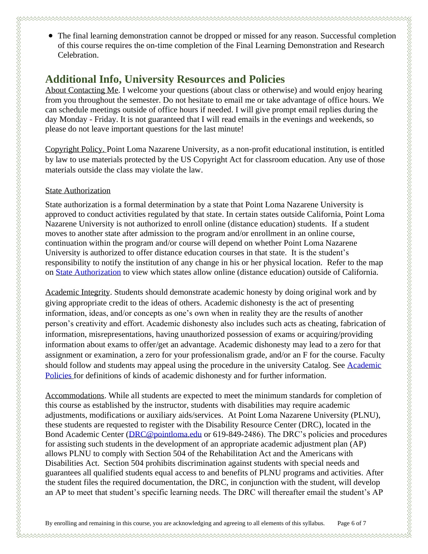- 
- The final learning demonstration cannot be dropped or missed for any reason. Successful completion of this course requires the on-time completion of the Final Learning Demonstration and Research Celebration.

### **Additional Info, University Resources and Policies**

About Contacting Me. I welcome your questions (about class or otherwise) and would enjoy hearing from you throughout the semester. Do not hesitate to email me or take advantage of office hours. We can schedule meetings outside of office hours if needed. I will give prompt email replies during the day Monday - Friday. It is not guaranteed that I will read emails in the evenings and weekends, so please do not leave important questions for the last minute!

Copyright Policy. Point Loma Nazarene University, as a non-profit educational institution, is entitled by law to use materials protected by the US Copyright Act for classroom education. Any use of those materials outside the class may violate the law.

#### State Authorization

State authorization is a formal determination by a state that Point Loma Nazarene University is approved to conduct activities regulated by that state. In certain states outside California, Point Loma Nazarene University is not authorized to enroll online (distance education) students. If a student moves to another state after admission to the program and/or enrollment in an online course, continuation within the program and/or course will depend on whether Point Loma Nazarene University is authorized to offer distance education courses in that state. It is the student's responsibility to notify the institution of any change in his or her physical location. Refer to the map on [State Authorization](https://www.pointloma.edu/offices/office-institutional-effectiveness-research/disclosures) to view which states allow online (distance education) outside of California.

Academic Integrity. Students should demonstrate academic honesty by doing original work and by giving appropriate credit to the ideas of others. Academic dishonesty is the act of presenting information, ideas, and/or concepts as one's own when in reality they are the results of another person's creativity and effort. Academic dishonesty also includes such acts as cheating, fabrication of information, misrepresentations, having unauthorized possession of exams or acquiring/providing information about exams to offer/get an advantage. Academic dishonesty may lead to a zero for that assignment or examination, a zero for your professionalism grade, and/or an F for the course. Faculty should follow and students may appeal using the procedure in the university Catalog. See Academic [Policies](http://catalog.pointloma.edu/content.php?catoid=18&navoid=1278) for definitions of kinds of academic dishonesty and for further information.

Accommodations. While all students are expected to meet the minimum standards for completion of this course as established by the instructor, students with disabilities may require academic adjustments, modifications or auxiliary aids/services. At Point Loma Nazarene University (PLNU), these students are requested to register with the Disability Resource Center (DRC), located in the Bond Academic Center [\(DRC@pointloma.edu](mailto:DRC@pointloma.edu) or 619-849-2486). The DRC's policies and procedures for assisting such students in the development of an appropriate academic adjustment plan (AP) allows PLNU to comply with Section 504 of the Rehabilitation Act and the Americans with Disabilities Act. Section 504 prohibits discrimination against students with special needs and guarantees all qualified students equal access to and benefits of PLNU programs and activities. After the student files the required documentation, the DRC, in conjunction with the student, will develop an AP to meet that student's specific learning needs. The DRC will thereafter email the student's AP